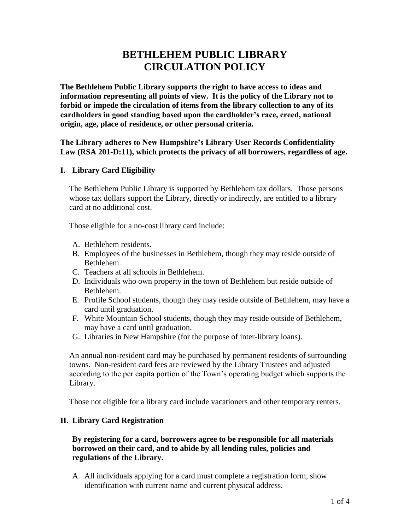# **BETHLEHEM PUBLIC LIBRARY CIRCULATION POLICY**

**The Bethlehem Public Library supports the right to have access to ideas and information representing all points of view. It is the policy of the Library not to forbid or impede the circulation of items from the library collection to any of its cardholders in good standing based upon the cardholder's race, creed, national origin, age, place of residence, or other personal criteria.**

**The Library adheres to New Hampshire's Library User Records Confidentiality Law (RSA 201-D:11), which protects the privacy of all borrowers, regardless of age.**

### **I. Library Card Eligibility**

The Bethlehem Public Library is supported by Bethlehem tax dollars. Those persons whose tax dollars support the Library, directly or indirectly, are entitled to a library card at no additional cost.

Those eligible for a no-cost library card include:

- A. Bethlehem residents.
- B. Employees of the businesses in Bethlehem, though they may reside outside of Bethlehem.
- C. Teachers at all schools in Bethlehem.
- D. Individuals who own property in the town of Bethlehem but reside outside of Bethlehem.
- E. Profile School students, though they may reside outside of Bethlehem, may have a card until graduation.
- F. White Mountain School students, though they may reside outside of Bethlehem, may have a card until graduation.
- G. Libraries in New Hampshire (for the purpose of inter-library loans).

An annual non-resident card may be purchased by permanent residents of surrounding towns. Non-resident card fees are reviewed by the Library Trustees and adjusted according to the per capita portion of the Town's operating budget which supports the Library.

Those not eligible for a library card include vacationers and other temporary renters.

#### **II. Library Card Registration**

### **By registering for a card, borrowers agree to be responsible for all materials borrowed on their card, and to abide by all lending rules, policies and regulations of the Library.**

A. All individuals applying for a card must complete a registration form, show identification with current name and current physical address.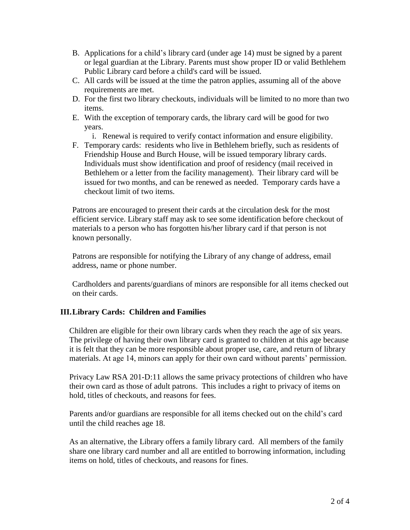- B. Applications for a child's library card (under age 14) must be signed by a parent or legal guardian at the Library. Parents must show proper ID or valid Bethlehem Public Library card before a child's card will be issued.
- C. All cards will be issued at the time the patron applies, assuming all of the above requirements are met.
- D. For the first two library checkouts, individuals will be limited to no more than two items.
- E. With the exception of temporary cards, the library card will be good for two years.
	- i. Renewal is required to verify contact information and ensure eligibility.
- F. Temporary cards: residents who live in Bethlehem briefly, such as residents of Friendship House and Burch House, will be issued temporary library cards. Individuals must show identification and proof of residency (mail received in Bethlehem or a letter from the facility management). Their library card will be issued for two months, and can be renewed as needed. Temporary cards have a checkout limit of two items.

Patrons are encouraged to present their cards at the circulation desk for the most efficient service. Library staff may ask to see some identification before checkout of materials to a person who has forgotten his/her library card if that person is not known personally.

Patrons are responsible for notifying the Library of any change of address, email address, name or phone number.

Cardholders and parents/guardians of minors are responsible for all items checked out on their cards.

# **III.Library Cards: Children and Families**

Children are eligible for their own library cards when they reach the age of six years. The privilege of having their own library card is granted to children at this age because it is felt that they can be more responsible about proper use, care, and return of library materials. At age 14, minors can apply for their own card without parents' permission.

Privacy Law RSA 201-D:11 allows the same privacy protections of children who have their own card as those of adult patrons. This includes a right to privacy of items on hold, titles of checkouts, and reasons for fees.

Parents and/or guardians are responsible for all items checked out on the child's card until the child reaches age 18.

As an alternative, the Library offers a family library card. All members of the family share one library card number and all are entitled to borrowing information, including items on hold, titles of checkouts, and reasons for fines.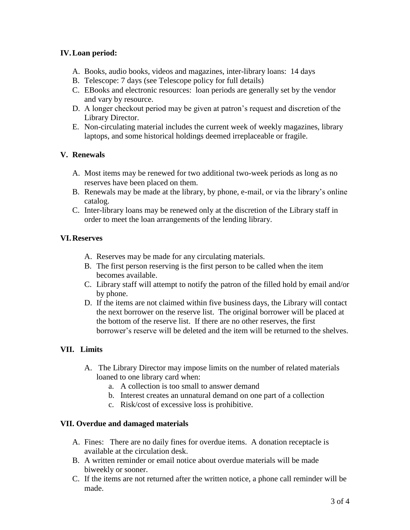# **IV.Loan period:**

- A. Books, audio books, videos and magazines, inter-library loans: 14 days
- B. Telescope: 7 days (see Telescope policy for full details)
- C. EBooks and electronic resources: loan periods are generally set by the vendor and vary by resource.
- D. A longer checkout period may be given at patron's request and discretion of the Library Director.
- E. Non-circulating material includes the current week of weekly magazines, library laptops, and some historical holdings deemed irreplaceable or fragile.

# **V. Renewals**

- A. Most items may be renewed for two additional two-week periods as long as no reserves have been placed on them.
- B. Renewals may be made at the library, by phone, e-mail, or via the library's online catalog.
- C. Inter-library loans may be renewed only at the discretion of the Library staff in order to meet the loan arrangements of the lending library.

### **VI.Reserves**

- A. Reserves may be made for any circulating materials.
- B. The first person reserving is the first person to be called when the item becomes available.
- C. Library staff will attempt to notify the patron of the filled hold by email and/or by phone.
- D. If the items are not claimed within five business days, the Library will contact the next borrower on the reserve list. The original borrower will be placed at the bottom of the reserve list. If there are no other reserves, the first borrower's reserve will be deleted and the item will be returned to the shelves.

# **VII. Limits**

- A. The Library Director may impose limits on the number of related materials loaned to one library card when:
	- a. A collection is too small to answer demand
	- b. Interest creates an unnatural demand on one part of a collection
	- c. Risk/cost of excessive loss is prohibitive.

#### **VII. Overdue and damaged materials**

- A. Fines: There are no daily fines for overdue items. A donation receptacle is available at the circulation desk.
- B. A written reminder or email notice about overdue materials will be made biweekly or sooner.
- C. If the items are not returned after the written notice, a phone call reminder will be made.